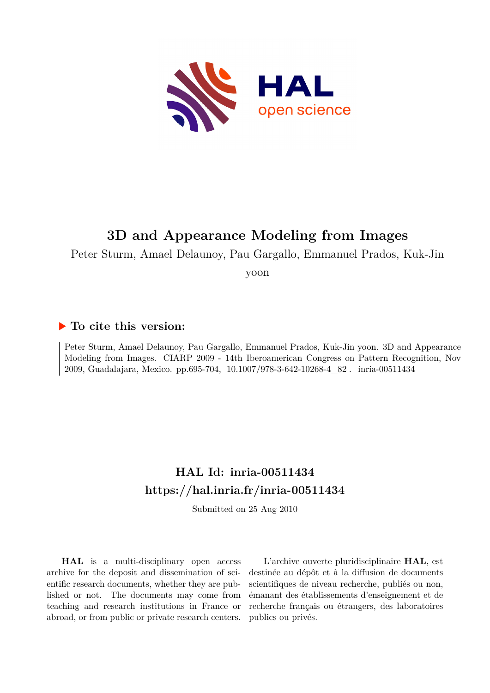

# **3D and Appearance Modeling from Images**

Peter Sturm, Amael Delaunoy, Pau Gargallo, Emmanuel Prados, Kuk-Jin

yoon

### **To cite this version:**

Peter Sturm, Amael Delaunoy, Pau Gargallo, Emmanuel Prados, Kuk-Jin yoon. 3D and Appearance Modeling from Images. CIARP 2009 - 14th Iberoamerican Congress on Pattern Recognition, Nov 2009, Guadalajara, Mexico. pp.695-704, 10.1007/978-3-642-10268-4\_82. inria-00511434

## **HAL Id: inria-00511434 <https://hal.inria.fr/inria-00511434>**

Submitted on 25 Aug 2010

**HAL** is a multi-disciplinary open access archive for the deposit and dissemination of scientific research documents, whether they are published or not. The documents may come from teaching and research institutions in France or abroad, or from public or private research centers.

L'archive ouverte pluridisciplinaire **HAL**, est destinée au dépôt et à la diffusion de documents scientifiques de niveau recherche, publiés ou non, émanant des établissements d'enseignement et de recherche français ou étrangers, des laboratoires publics ou privés.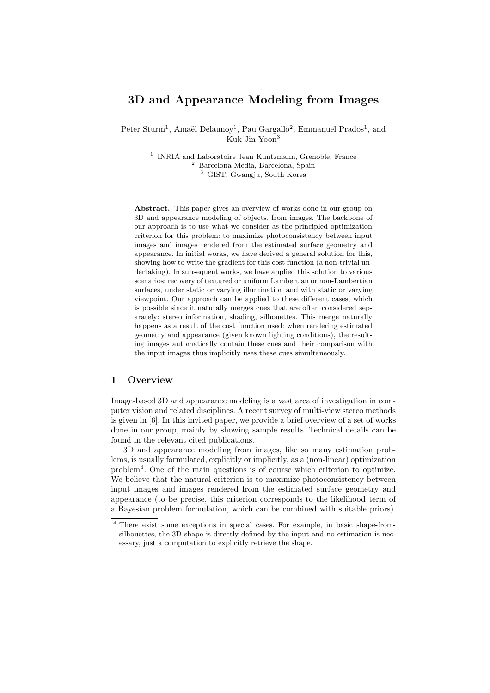### 3D and Appearance Modeling from Images

Peter Sturm<sup>1</sup>, Amaël Delaunoy<sup>1</sup>, Pau Gargallo<sup>2</sup>, Emmanuel Prados<sup>1</sup>, and Kuk-Jin Yoon<sup>3</sup>

> <sup>1</sup> INRIA and Laboratoire Jean Kuntzmann, Grenoble, France <sup>2</sup> Barcelona Media, Barcelona, Spain <sup>3</sup> GIST, Gwangju, South Korea

Abstract. This paper gives an overview of works done in our group on 3D and appearance modeling of objects, from images. The backbone of our approach is to use what we consider as the principled optimization criterion for this problem: to maximize photoconsistency between input images and images rendered from the estimated surface geometry and appearance. In initial works, we have derived a general solution for this, showing how to write the gradient for this cost function (a non-trivial undertaking). In subsequent works, we have applied this solution to various scenarios: recovery of textured or uniform Lambertian or non-Lambertian surfaces, under static or varying illumination and with static or varying viewpoint. Our approach can be applied to these different cases, which is possible since it naturally merges cues that are often considered separately: stereo information, shading, silhouettes. This merge naturally happens as a result of the cost function used: when rendering estimated geometry and appearance (given known lighting conditions), the resulting images automatically contain these cues and their comparison with the input images thus implicitly uses these cues simultaneously.

#### 1 Overview

Image-based 3D and appearance modeling is a vast area of investigation in computer vision and related disciplines. A recent survey of multi-view stereo methods is given in [6]. In this invited paper, we provide a brief overview of a set of works done in our group, mainly by showing sample results. Technical details can be found in the relevant cited publications.

3D and appearance modeling from images, like so many estimation problems, is usually formulated, explicitly or implicitly, as a (non-linear) optimization problem<sup>4</sup> . One of the main questions is of course which criterion to optimize. We believe that the natural criterion is to maximize photoconsistency between input images and images rendered from the estimated surface geometry and appearance (to be precise, this criterion corresponds to the likelihood term of a Bayesian problem formulation, which can be combined with suitable priors).

<sup>4</sup> There exist some exceptions in special cases. For example, in basic shape-fromsilhouettes, the 3D shape is directly defined by the input and no estimation is necessary, just a computation to explicitly retrieve the shape.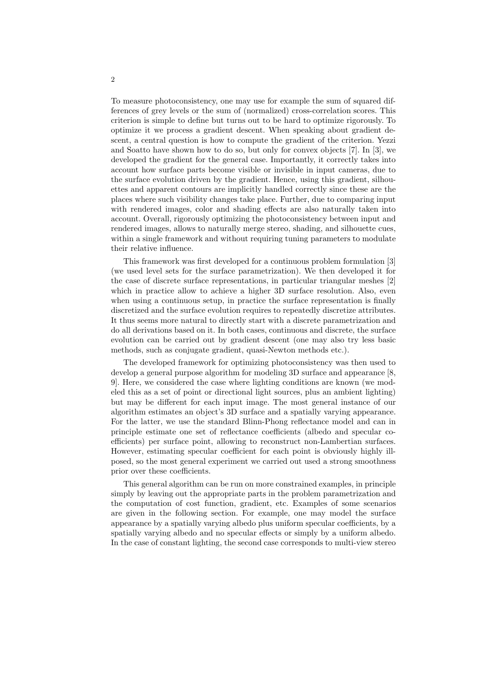To measure photoconsistency, one may use for example the sum of squared differences of grey levels or the sum of (normalized) cross-correlation scores. This criterion is simple to define but turns out to be hard to optimize rigorously. To optimize it we process a gradient descent. When speaking about gradient descent, a central question is how to compute the gradient of the criterion. Yezzi and Soatto have shown how to do so, but only for convex objects [7]. In [3], we developed the gradient for the general case. Importantly, it correctly takes into account how surface parts become visible or invisible in input cameras, due to the surface evolution driven by the gradient. Hence, using this gradient, silhouettes and apparent contours are implicitly handled correctly since these are the places where such visibility changes take place. Further, due to comparing input with rendered images, color and shading effects are also naturally taken into account. Overall, rigorously optimizing the photoconsistency between input and rendered images, allows to naturally merge stereo, shading, and silhouette cues, within a single framework and without requiring tuning parameters to modulate their relative influence.

This framework was first developed for a continuous problem formulation [3] (we used level sets for the surface parametrization). We then developed it for the case of discrete surface representations, in particular triangular meshes [2] which in practice allow to achieve a higher 3D surface resolution. Also, even when using a continuous setup, in practice the surface representation is finally discretized and the surface evolution requires to repeatedly discretize attributes. It thus seems more natural to directly start with a discrete parametrization and do all derivations based on it. In both cases, continuous and discrete, the surface evolution can be carried out by gradient descent (one may also try less basic methods, such as conjugate gradient, quasi-Newton methods etc.).

The developed framework for optimizing photoconsistency was then used to develop a general purpose algorithm for modeling 3D surface and appearance [8, 9]. Here, we considered the case where lighting conditions are known (we modeled this as a set of point or directional light sources, plus an ambient lighting) but may be different for each input image. The most general instance of our algorithm estimates an object's 3D surface and a spatially varying appearance. For the latter, we use the standard Blinn-Phong reflectance model and can in principle estimate one set of reflectance coefficients (albedo and specular coefficients) per surface point, allowing to reconstruct non-Lambertian surfaces. However, estimating specular coefficient for each point is obviously highly illposed, so the most general experiment we carried out used a strong smoothness prior over these coefficients.

This general algorithm can be run on more constrained examples, in principle simply by leaving out the appropriate parts in the problem parametrization and the computation of cost function, gradient, etc. Examples of some scenarios are given in the following section. For example, one may model the surface appearance by a spatially varying albedo plus uniform specular coefficients, by a spatially varying albedo and no specular effects or simply by a uniform albedo. In the case of constant lighting, the second case corresponds to multi-view stereo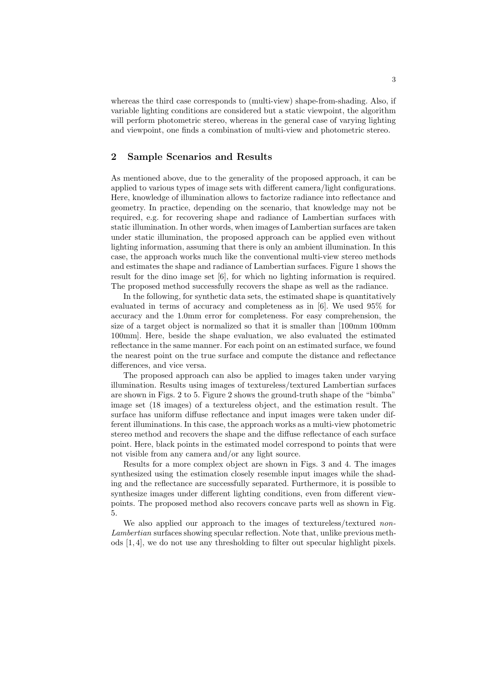whereas the third case corresponds to (multi-view) shape-from-shading. Also, if variable lighting conditions are considered but a static viewpoint, the algorithm will perform photometric stereo, whereas in the general case of varying lighting and viewpoint, one finds a combination of multi-view and photometric stereo.

#### 2 Sample Scenarios and Results

As mentioned above, due to the generality of the proposed approach, it can be applied to various types of image sets with different camera/light configurations. Here, knowledge of illumination allows to factorize radiance into reflectance and geometry. In practice, depending on the scenario, that knowledge may not be required, e.g. for recovering shape and radiance of Lambertian surfaces with static illumination. In other words, when images of Lambertian surfaces are taken under static illumination, the proposed approach can be applied even without lighting information, assuming that there is only an ambient illumination. In this case, the approach works much like the conventional multi-view stereo methods and estimates the shape and radiance of Lambertian surfaces. Figure 1 shows the result for the dino image set [6], for which no lighting information is required. The proposed method successfully recovers the shape as well as the radiance.

In the following, for synthetic data sets, the estimated shape is quantitatively evaluated in terms of accuracy and completeness as in [6]. We used 95% for accuracy and the 1.0mm error for completeness. For easy comprehension, the size of a target object is normalized so that it is smaller than [100mm 100mm 100mm]. Here, beside the shape evaluation, we also evaluated the estimated reflectance in the same manner. For each point on an estimated surface, we found the nearest point on the true surface and compute the distance and reflectance differences, and vice versa.

The proposed approach can also be applied to images taken under varying illumination. Results using images of textureless/textured Lambertian surfaces are shown in Figs. 2 to 5. Figure 2 shows the ground-truth shape of the "bimba" image set (18 images) of a textureless object, and the estimation result. The surface has uniform diffuse reflectance and input images were taken under different illuminations. In this case, the approach works as a multi-view photometric stereo method and recovers the shape and the diffuse reflectance of each surface point. Here, black points in the estimated model correspond to points that were not visible from any camera and/or any light source.

Results for a more complex object are shown in Figs. 3 and 4. The images synthesized using the estimation closely resemble input images while the shading and the reflectance are successfully separated. Furthermore, it is possible to synthesize images under different lighting conditions, even from different viewpoints. The proposed method also recovers concave parts well as shown in Fig. 5.

We also applied our approach to the images of textureless/textured non-Lambertian surfaces showing specular reflection. Note that, unlike previous methods [1, 4], we do not use any thresholding to filter out specular highlight pixels.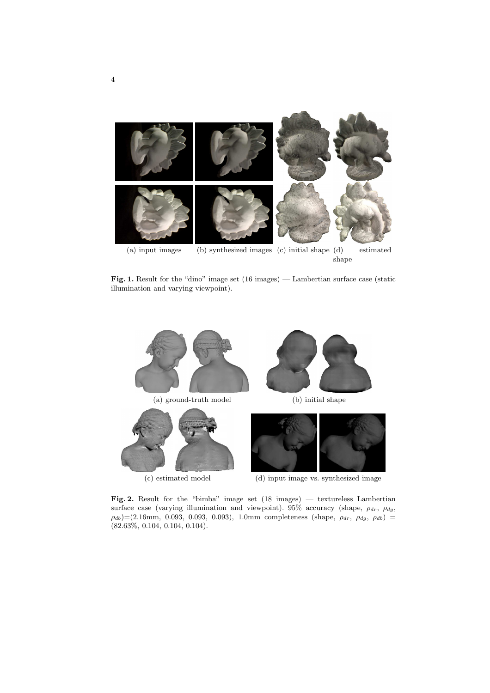

shape

Fig. 1. Result for the "dino" image set (16 images) — Lambertian surface case (static illumination and varying viewpoint).



Fig. 2. Result for the "bimba" image set (18 images) — textureless Lambertian surface case (varying illumination and viewpoint). 95% accuracy (shape,  $\rho_{dr}$ ,  $\rho_{dg}$ ,  $(\rho_{db})=(2.16 \text{mm}, 0.093, 0.093, 0.093), 1.0 \text{mm}$  completeness (shape,  $\rho_{dr}, \rho_{dg}, \rho_{db})=$ (82.63%, 0.104, 0.104, 0.104).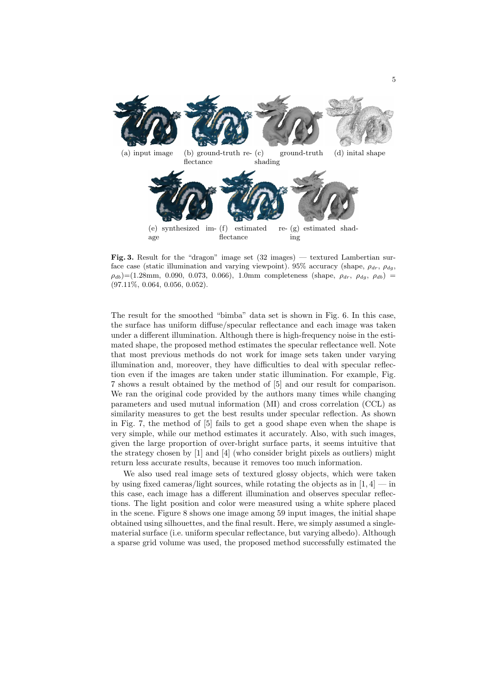

Fig. 3. Result for the "dragon" image set  $(32 \text{ images})$  — textured Lambertian surface case (static illumination and varying viewpoint). 95% accuracy (shape,  $\rho_{dr}$ ,  $\rho_{dg}$ ,  $(\rho_{db})=(1.28 \text{mm}, 0.090, 0.073, 0.066), 1.0 \text{mm}$  completeness (shape,  $(\rho_{dr}, \rho_{dq}, \rho_{db})=$ (97.11%, 0.064, 0.056, 0.052).

The result for the smoothed "bimba" data set is shown in Fig. 6. In this case, the surface has uniform diffuse/specular reflectance and each image was taken under a different illumination. Although there is high-frequency noise in the estimated shape, the proposed method estimates the specular reflectance well. Note that most previous methods do not work for image sets taken under varying illumination and, moreover, they have difficulties to deal with specular reflection even if the images are taken under static illumination. For example, Fig. 7 shows a result obtained by the method of [5] and our result for comparison. We ran the original code provided by the authors many times while changing parameters and used mutual information (MI) and cross correlation (CCL) as similarity measures to get the best results under specular reflection. As shown in Fig. 7, the method of [5] fails to get a good shape even when the shape is very simple, while our method estimates it accurately. Also, with such images, given the large proportion of over-bright surface parts, it seems intuitive that the strategy chosen by [1] and [4] (who consider bright pixels as outliers) might return less accurate results, because it removes too much information.

We also used real image sets of textured glossy objects, which were taken by using fixed cameras/light sources, while rotating the objects as in  $[1, 4]$  — in this case, each image has a different illumination and observes specular reflections. The light position and color were measured using a white sphere placed in the scene. Figure 8 shows one image among 59 input images, the initial shape obtained using silhouettes, and the final result. Here, we simply assumed a singlematerial surface (i.e. uniform specular reflectance, but varying albedo). Although a sparse grid volume was used, the proposed method successfully estimated the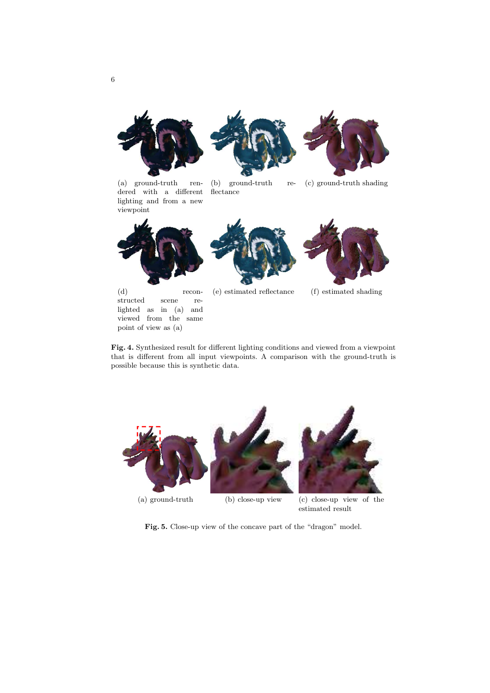

dered with a different lighting and from a new

viewpoint



(b) ground-truth reflectance



(c) ground-truth shading



(d) reconstructed scene relighted as in (a) and viewed from the same point of view as (a)



(e) estimated reflectance (f) estimated shading



Fig. 4. Synthesized result for different lighting conditions and viewed from a viewpoint that is different from all input viewpoints. A comparison with the ground-truth is possible because this is synthetic data.



estimated result

Fig. 5. Close-up view of the concave part of the "dragon" model.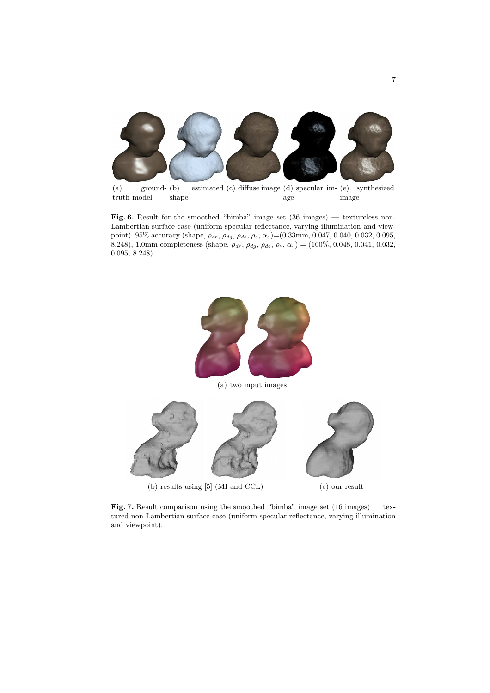

(a) groundtruth model (b) estimated (c) diffuse image (d) specular im-(e) synthesized shape age image

Fig. 6. Result for the smoothed "bimba" image set (36 images) — textureless non-Lambertian surface case (uniform specular reflectance, varying illumination and viewpoint). 95% accuracy (shape,  $\rho_{dr}, \rho_{dg}, \rho_{db}, \rho_s, \alpha_s$ )=(0.33mm, 0.047, 0.040, 0.032, 0.095, 8.248), 1.0mm completeness (shape,  $\rho_{dr}, \rho_{dg}, \rho_{db}, \rho_s, \alpha_s$ ) = (100%, 0.048, 0.041, 0.032, 0.095, 8.248).



Fig. 7. Result comparison using the smoothed "bimba" image set  $(16 \text{ images}) - \text{tex}$ tured non-Lambertian surface case (uniform specular reflectance, varying illumination and viewpoint).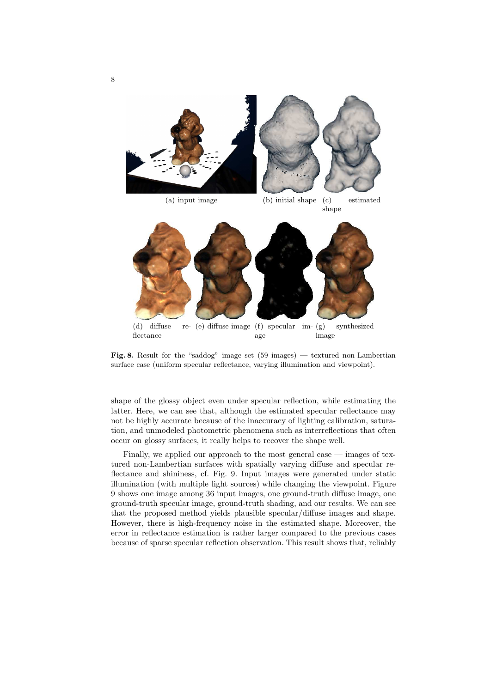



Fig. 8. Result for the "saddog" image set  $(59 \text{ images})$  — textured non-Lambertian surface case (uniform specular reflectance, varying illumination and viewpoint).

shape of the glossy object even under specular reflection, while estimating the latter. Here, we can see that, although the estimated specular reflectance may not be highly accurate because of the inaccuracy of lighting calibration, saturation, and unmodeled photometric phenomena such as interreflections that often occur on glossy surfaces, it really helps to recover the shape well.

Finally, we applied our approach to the most general case — images of textured non-Lambertian surfaces with spatially varying diffuse and specular reflectance and shininess, cf. Fig. 9. Input images were generated under static illumination (with multiple light sources) while changing the viewpoint. Figure 9 shows one image among 36 input images, one ground-truth diffuse image, one ground-truth specular image, ground-truth shading, and our results. We can see that the proposed method yields plausible specular/diffuse images and shape. However, there is high-frequency noise in the estimated shape. Moreover, the error in reflectance estimation is rather larger compared to the previous cases because of sparse specular reflection observation. This result shows that, reliably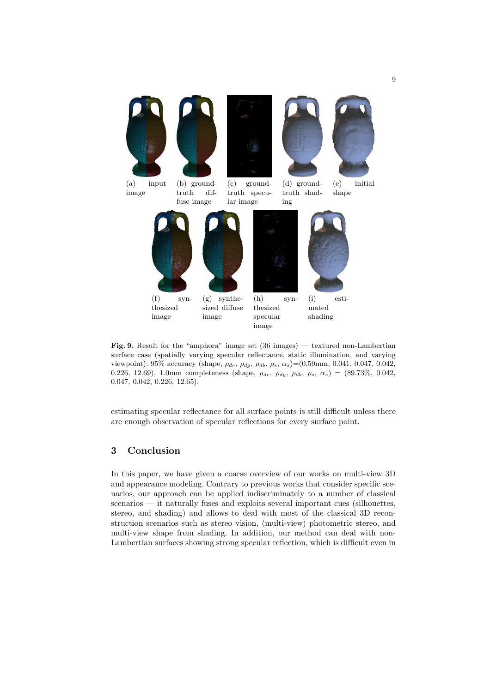

Fig. 9. Result for the "amphora" image set (36 images) — textured non-Lambertian surface case (spatially varying specular reflectance, static illumination, and varying viewpoint). 95% accuracy (shape,  $\rho_{dr}, \rho_{dg}, \rho_{db}, \rho_s, \alpha_s$ )=(0.59mm, 0.041, 0.047, 0.042, 0.226, 12.69), 1.0mm completeness (shape,  $\rho_{dr}$ ,  $\rho_{dg}$ ,  $\rho_{db}$ ,  $\rho_s$ ,  $\alpha_s$ ) = (89.73%, 0.042, 0.047, 0.042, 0.226, 12.65).

estimating specular reflectance for all surface points is still difficult unless there are enough observation of specular reflections for every surface point.

#### 3 Conclusion

In this paper, we have given a coarse overview of our works on multi-view 3D and appearance modeling. Contrary to previous works that consider specific scenarios, our approach can be applied indiscriminately to a number of classical scenarios — it naturally fuses and exploits several important cues (silhouettes, stereo, and shading) and allows to deal with most of the classical 3D reconstruction scenarios such as stereo vision, (multi-view) photometric stereo, and multi-view shape from shading. In addition, our method can deal with non-Lambertian surfaces showing strong specular reflection, which is difficult even in